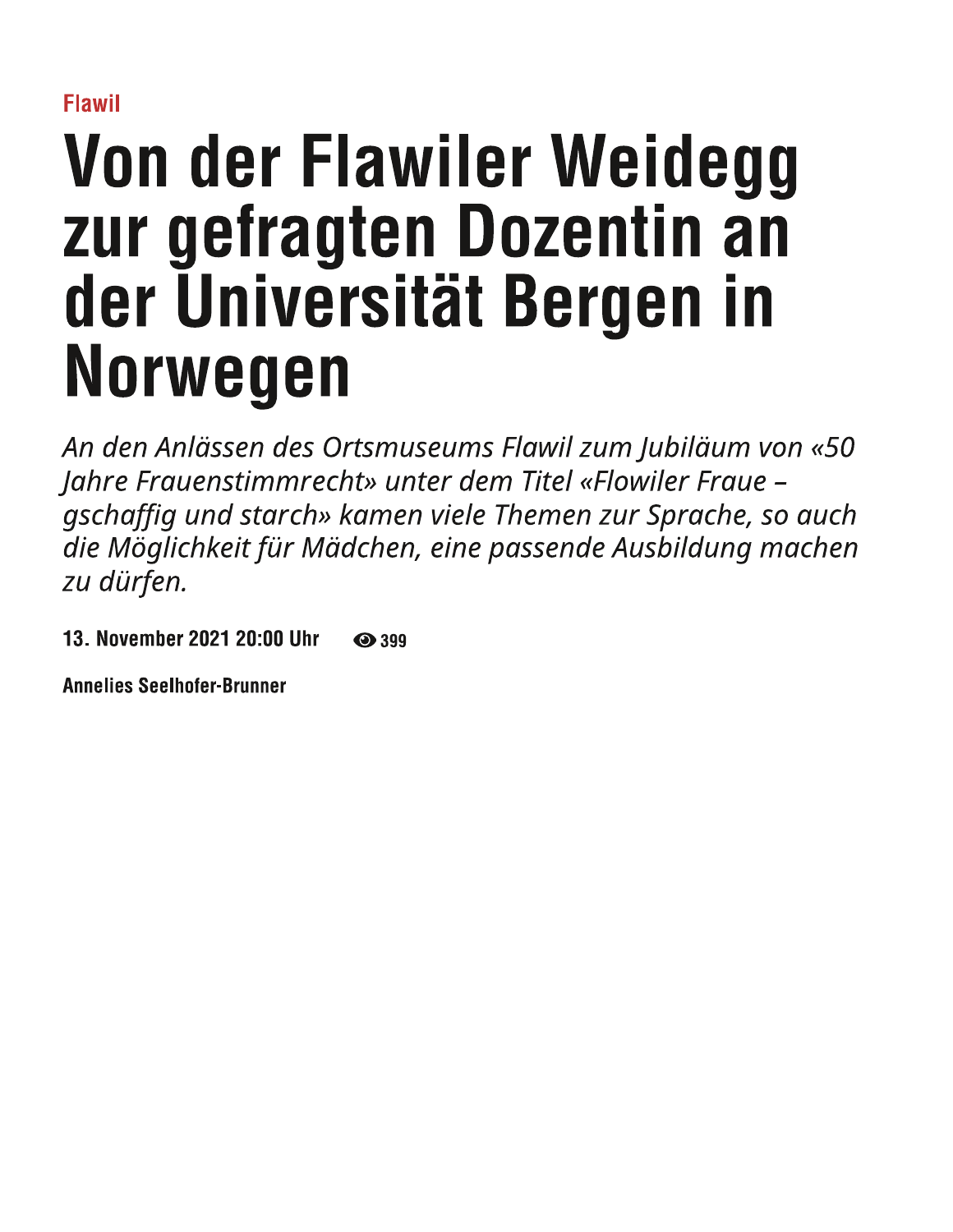**Flawil** 

# Von der Flawiler Weidegg zur gefragten Dozentin an der Universität Bergen in Norwegen

An den Anlässen des Ortsmuseums Flawil zum Jubiläum von «50 Jahre Frauenstimmrecht» unter dem Titel «Flowiler Fraue gschaffig und starch» kamen viele Themen zur Sprache, so auch die Möglichkeit für Mädchen, eine passende Ausbildung machen zu dürfen.

13. November 2021 20:00 Uhr ⊙ 399

**Annelies Seelhofer-Brunner**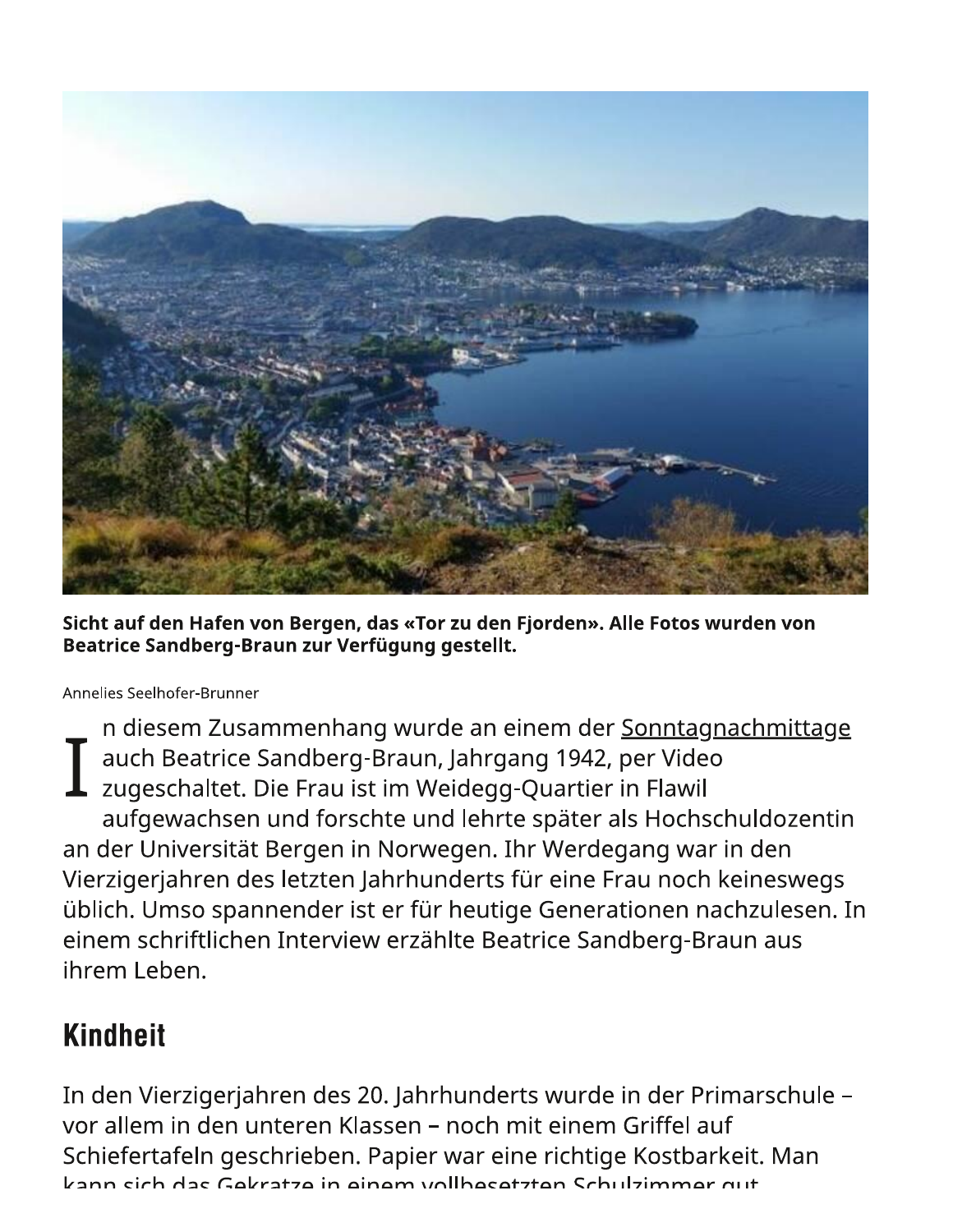

Sicht auf den Hafen von Bergen, das «Tor zu den Fjorden». Alle Fotos wurden von Beatrice Sandberg-Braun zur Verfügung gestellt.

Annelies Seelhofer-Brunner

n diesem Zusammenhang wurde an einem der Sonntagnachmittage auch Beatrice Sandberg-Braun, Jahrgang 1942, per Video zugeschaltet. Die Frau ist im Weidegg-Quartier in Flawil aufgewachsen und forschte und lehrte später als Hochschuldozentin an der Universität Bergen in Norwegen. Ihr Werdegang war in den Vierzigerjahren des letzten Jahrhunderts für eine Frau noch keineswegs üblich. Umso spannender ist er für heutige Generationen nachzulesen. In einem schriftlichen Interview erzählte Beatrice Sandberg-Braun aus ihrem Leben.

#### **Kindheit**

In den Vierzigerjahren des 20. Jahrhunderts wurde in der Primarschule vor allem in den unteren Klassen – noch mit einem Griffel auf Schiefertafeln geschrieben. Papier war eine richtige Kostbarkeit. Man kann sich das Gekratze in einem vollbesetzten Schulzimmer gut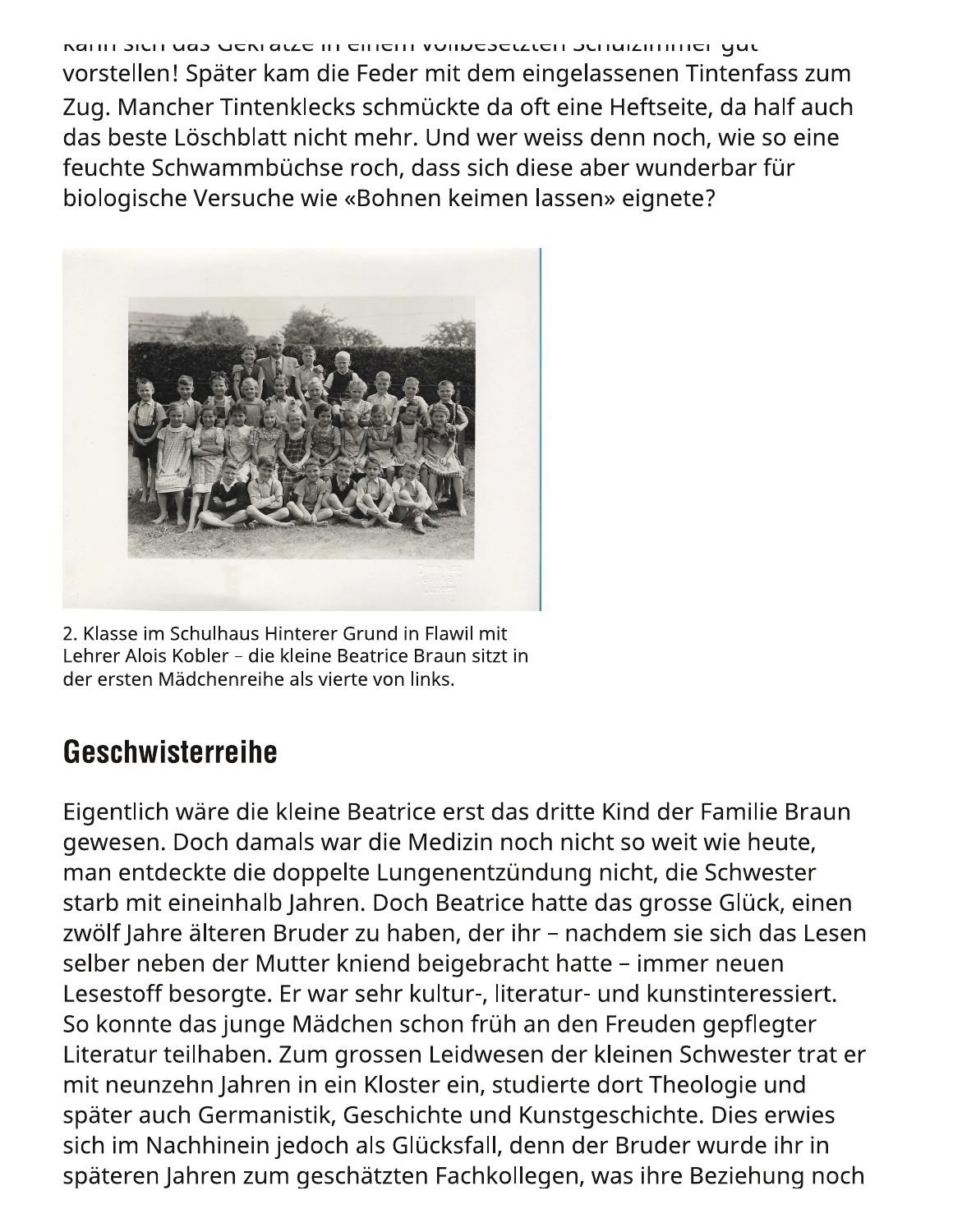תמוווו אכוו טמא שכמו מנצכ ווו כוווכווו וויטווויכאכנצנכוו אכוומוצוווווווכו שטנ vorstellen! Später kam die Feder mit dem eingelassenen Tintenfass zum Zug. Mancher Tintenklecks schmückte da oft eine Heftseite, da half auch das beste Löschblatt nicht mehr. Und wer weiss denn noch, wie so eine feuchte Schwammbüchse roch, dass sich diese aber wunderbar für biologische Versuche wie «Bohnen keimen lassen» eignete?



2. Klasse im Schulhaus Hinterer Grund in Flawil mit Lehrer Alois Kobler – die kleine Beatrice Braun sitzt in der ersten Mädchenreihe als vierte von links.

## Geschwisterreihe

Eigentlich wäre die kleine Beatrice erst das dritte Kind der Familie Braun gewesen. Doch damals war die Medizin noch nicht so weit wie heute, man entdeckte die doppelte Lungenentzündung nicht, die Schwester starb mit eineinhalb Jahren. Doch Beatrice hatte das grosse Glück, einen zwölf Jahre älteren Bruder zu haben, der ihr – nachdem sie sich das Lesen selber neben der Mutter kniend beigebracht hatte – immer neuen Lesestoff besorgte. Er war sehr kultur-, literatur- und kunstinteressiert. So konnte das junge Mädchen schon früh an den Freuden gepflegter Literatur teilhaben. Zum grossen Leidwesen der kleinen Schwester trat er mit neunzehn Jahren in ein Kloster ein, studierte dort Theologie und später auch Germanistik, Geschichte und Kunstgeschichte. Dies erwies sich im Nachhinein jedoch als Glücksfall, denn der Bruder wurde ihr in späteren Jahren zum geschätzten Fachkollegen, was ihre Beziehung noch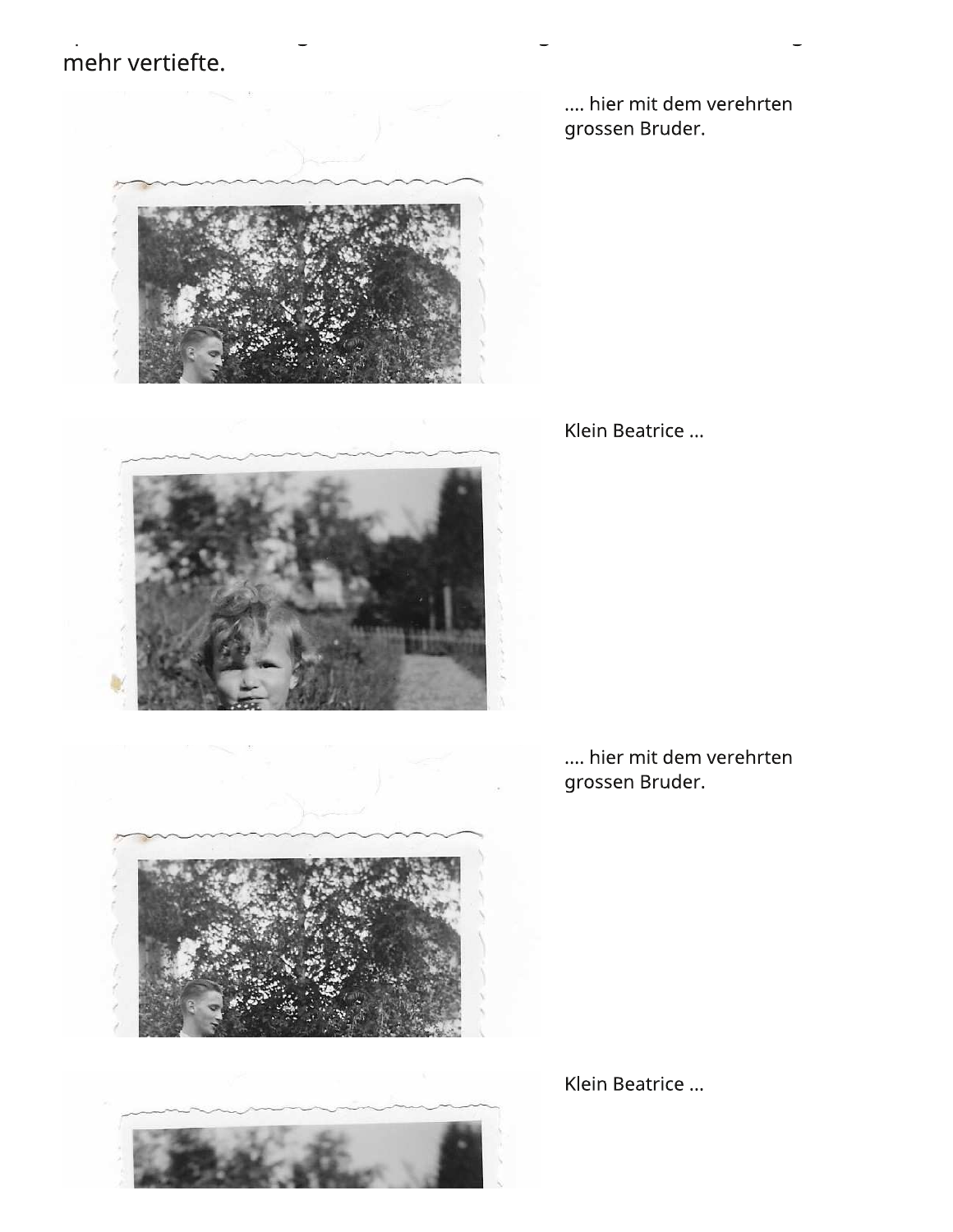## mehr vertiefte.



.... hier mit dem verehrten grossen Bruder.

Klein Beatrice ...

.... hier mit dem verehrten grossen Bruder.



Klein Beatrice ...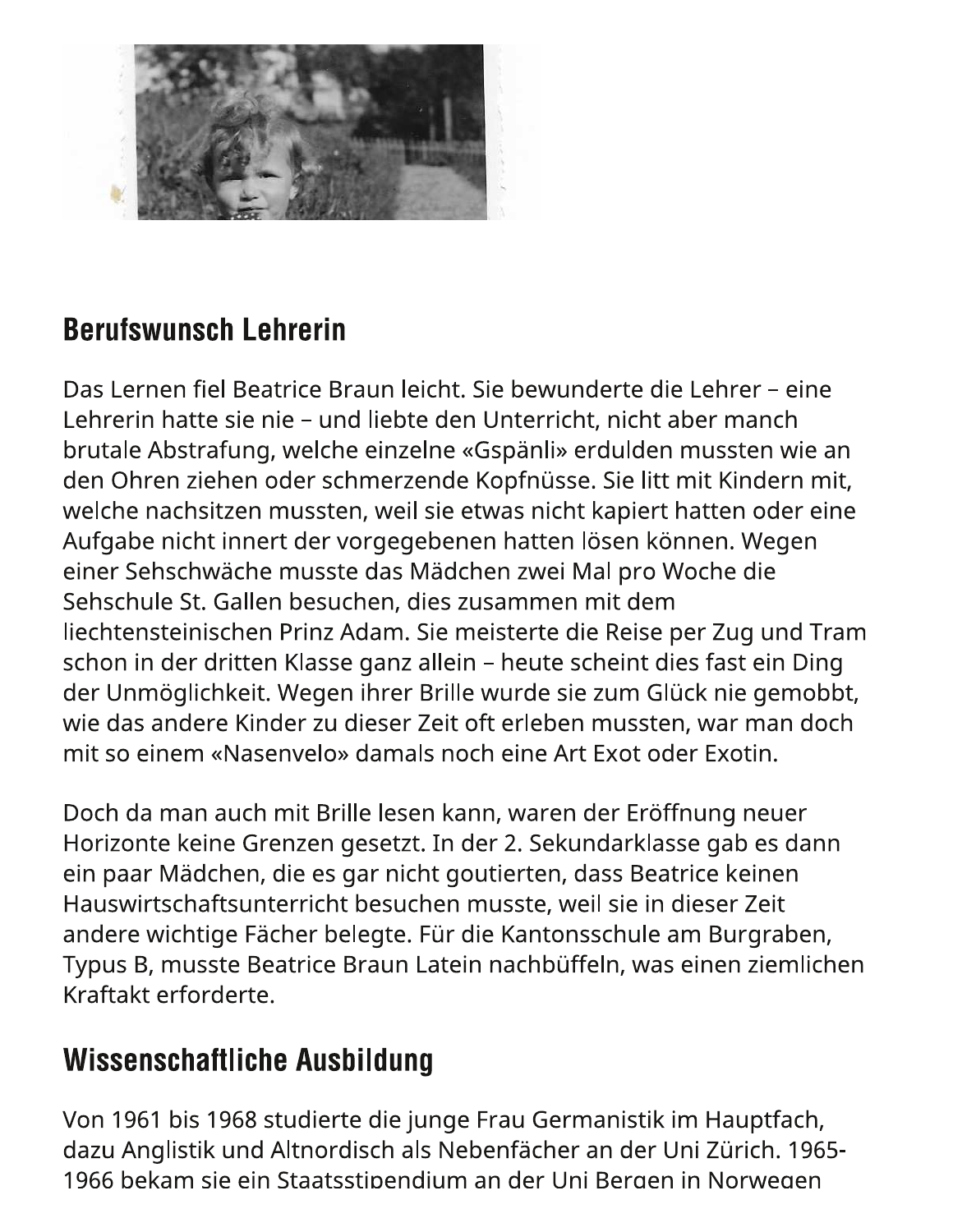

#### **Berufswunsch Lehrerin**

Das Lernen fiel Beatrice Braun leicht. Sie bewunderte die Lehrer – eine Lehrerin hatte sie nie – und liebte den Unterricht, nicht aber manch brutale Abstrafung, welche einzelne «Gspänli» erdulden mussten wie an den Ohren ziehen oder schmerzende Kopfnüsse. Sie litt mit Kindern mit, welche nachsitzen mussten, weil sie etwas nicht kapiert hatten oder eine Aufgabe nicht innert der vorgegebenen hatten lösen können. Wegen einer Sehschwäche musste das Mädchen zwei Mal pro Woche die Sehschule St. Gallen besuchen, dies zusammen mit dem liechtensteinischen Prinz Adam. Sie meisterte die Reise per Zug und Tram schon in der dritten Klasse ganz allein - heute scheint dies fast ein Ding der Unmöglichkeit. Wegen ihrer Brille wurde sie zum Glück nie gemobbt, wie das andere Kinder zu dieser Zeit oft erleben mussten, war man doch mit so einem «Nasenvelo» damals noch eine Art Exot oder Exotin.

Doch da man auch mit Brille lesen kann, waren der Eröffnung neuer Horizonte keine Grenzen gesetzt. In der 2. Sekundarklasse gab es dann ein paar Mädchen, die es gar nicht goutierten, dass Beatrice keinen Hauswirtschaftsunterricht besuchen musste, weil sie in dieser Zeit andere wichtige Fächer belegte. Für die Kantonsschule am Burgraben, Typus B, musste Beatrice Braun Latein nachbüffeln, was einen ziemlichen Kraftakt erforderte.

#### **Wissenschaftliche Ausbildung**

Von 1961 bis 1968 studierte die junge Frau Germanistik im Hauptfach, dazu Anglistik und Altnordisch als Nebenfächer an der Uni Zürich. 1965-1966 bekam sie ein Staatsstipendium an der Uni Bergen in Norwegen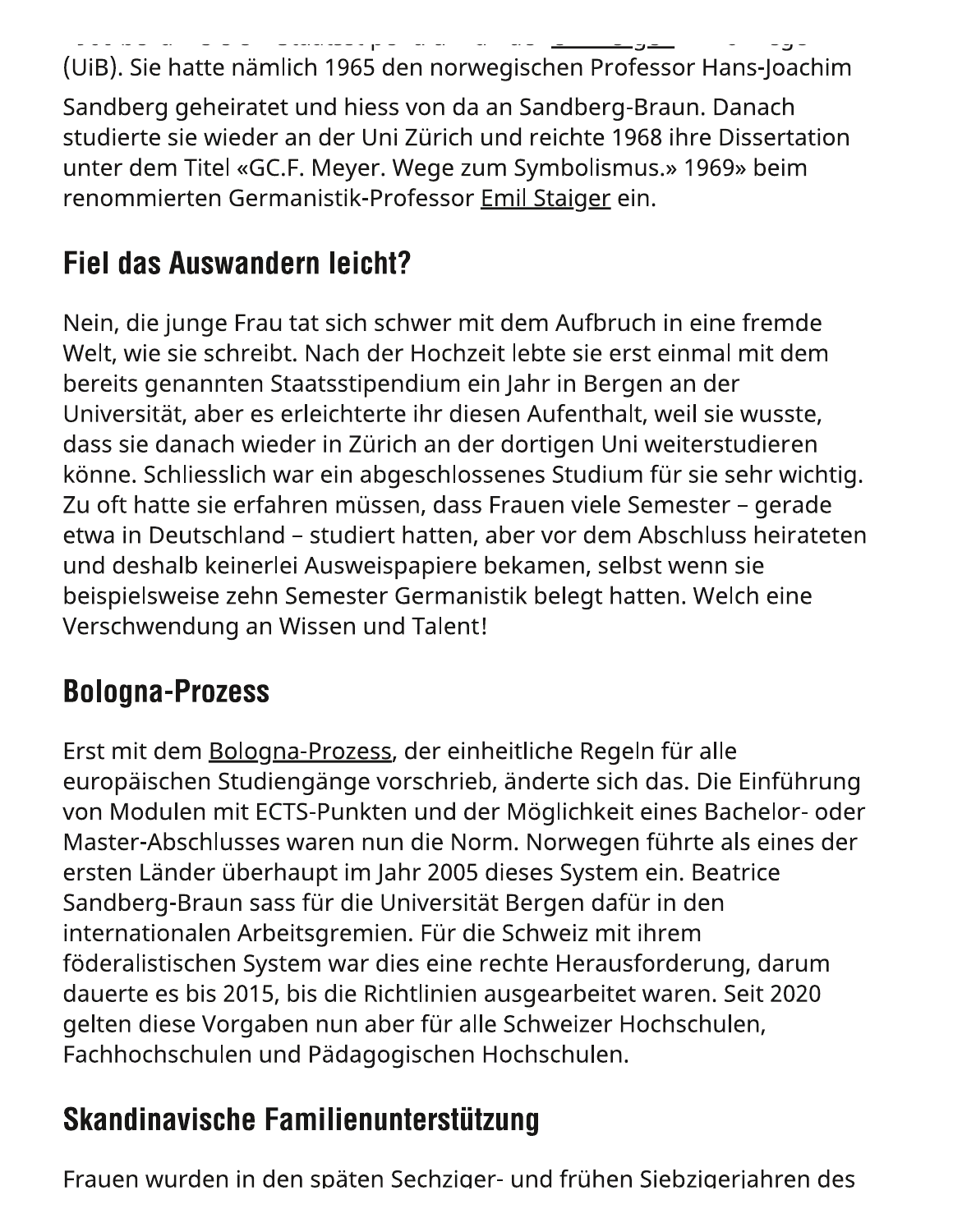(UiB). Sie hatte nämlich 1965 den norwegischen Professor Hans-Joachim Sandberg geheiratet und hiess von da an Sandberg-Braun. Danach studierte sie wieder an der Uni Zürich und reichte 1968 ihre Dissertation unter dem Titel «GC.F. Meyer. Wege zum Symbolismus.» 1969» beim renommierten Germanistik-Professor Emil Staiger ein.

## **Fiel das Auswandern leicht?**

Nein, die junge Frau tat sich schwer mit dem Aufbruch in eine fremde Welt, wie sie schreibt. Nach der Hochzeit lebte sie erst einmal mit dem bereits genannten Staatsstipendium ein Jahr in Bergen an der Universität, aber es erleichterte ihr diesen Aufenthalt, weil sie wusste, dass sie danach wieder in Zürich an der dortigen Uni weiterstudieren könne. Schliesslich war ein abgeschlossenes Studium für sie sehr wichtig. Zu oft hatte sie erfahren müssen, dass Frauen viele Semester – gerade etwa in Deutschland - studiert hatten, aber vor dem Abschluss heirateten und deshalb keinerlei Ausweispapiere bekamen, selbst wenn sie beispielsweise zehn Semester Germanistik belegt hatten. Welch eine Verschwendung an Wissen und Talent!

## **Bologna-Prozess**

Erst mit dem Bologna-Prozess, der einheitliche Regeln für alle europäischen Studiengänge vorschrieb, änderte sich das. Die Einführung von Modulen mit ECTS-Punkten und der Möglichkeit eines Bachelor- oder Master-Abschlusses waren nun die Norm. Norwegen führte als eines der ersten Länder überhaupt im Jahr 2005 dieses System ein. Beatrice Sandberg-Braun sass für die Universität Bergen dafür in den internationalen Arbeitsgremien. Für die Schweiz mit ihrem föderalistischen System war dies eine rechte Herausforderung, darum dauerte es bis 2015, bis die Richtlinien ausgearbeitet waren. Seit 2020 gelten diese Vorgaben nun aber für alle Schweizer Hochschulen, Fachhochschulen und Pädagogischen Hochschulen.

## Skandinavische Familienunterstützung

Frauen wurden in den späten Sechziger- und frühen Siebzigeriahren des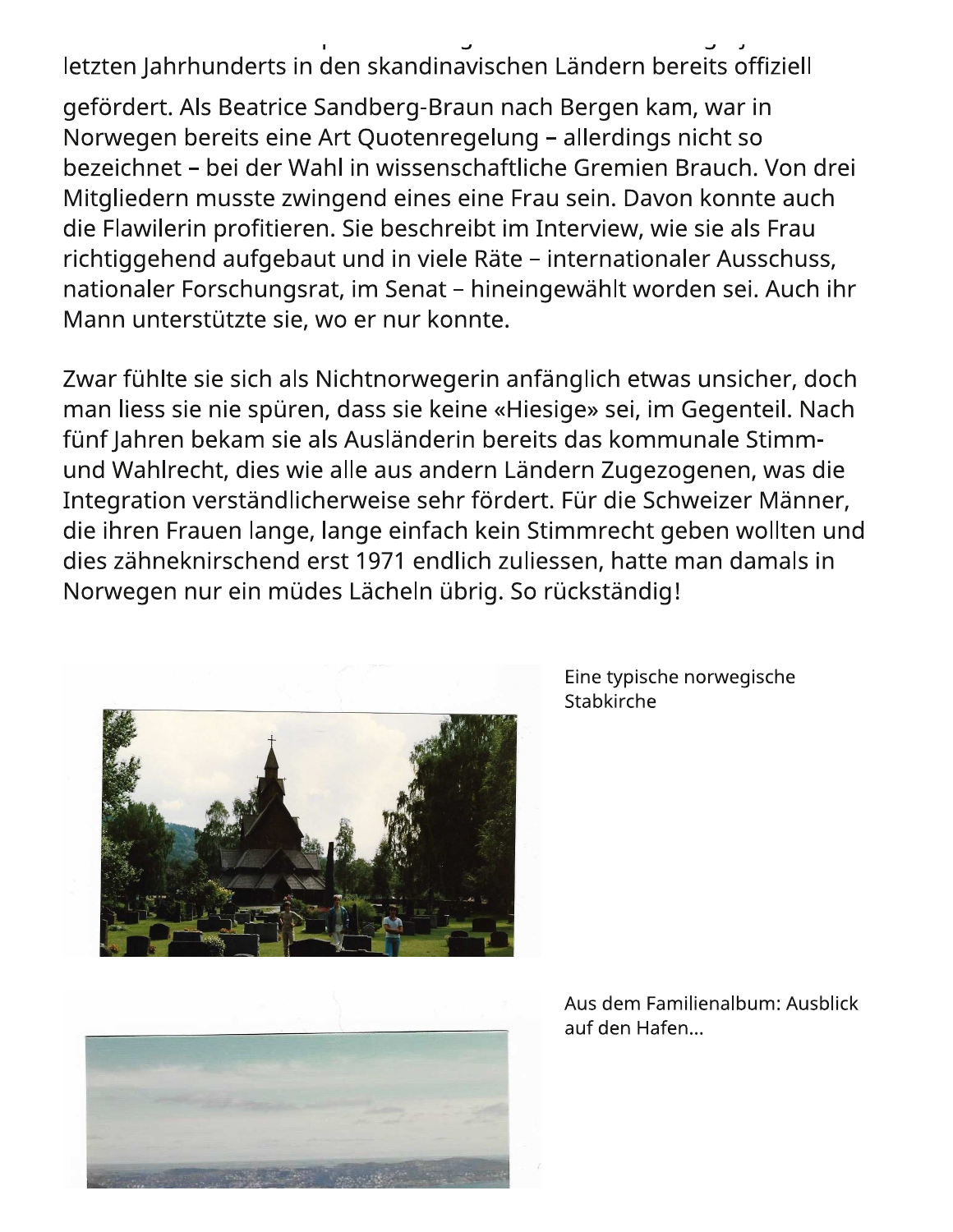letzten Jahrhunderts in den skandinavischen Ländern bereits offiziell

gefördert. Als Beatrice Sandberg-Braun nach Bergen kam, war in Norwegen bereits eine Art Quotenregelung – allerdings nicht so bezeichnet – bei der Wahl in wissenschaftliche Gremien Brauch. Von drei Mitgliedern musste zwingend eines eine Frau sein. Davon konnte auch die Flawilerin profitieren. Sie beschreibt im Interview, wie sie als Frau richtiggehend aufgebaut und in viele Räte - internationaler Ausschuss, nationaler Forschungsrat, im Senat - hineingewählt worden sei. Auch ihr Mann unterstützte sie, wo er nur konnte.

Zwar fühlte sie sich als Nichtnorwegerin anfänglich etwas unsicher, doch man liess sie nie spüren, dass sie keine «Hiesige» sei, im Gegenteil. Nach fünf Jahren bekam sie als Ausländerin bereits das kommunale Stimmund Wahlrecht, dies wie alle aus andern Ländern Zugezogenen, was die Integration verständlicherweise sehr fördert. Für die Schweizer Männer, die ihren Frauen lange, lange einfach kein Stimmrecht geben wollten und dies zähneknirschend erst 1971 endlich zuliessen, hatte man damals in Norwegen nur ein müdes Lächeln übrig. So rückständig!





Eine typische norwegische Stabkirche

Aus dem Familienalbum: Ausblick auf den Hafen...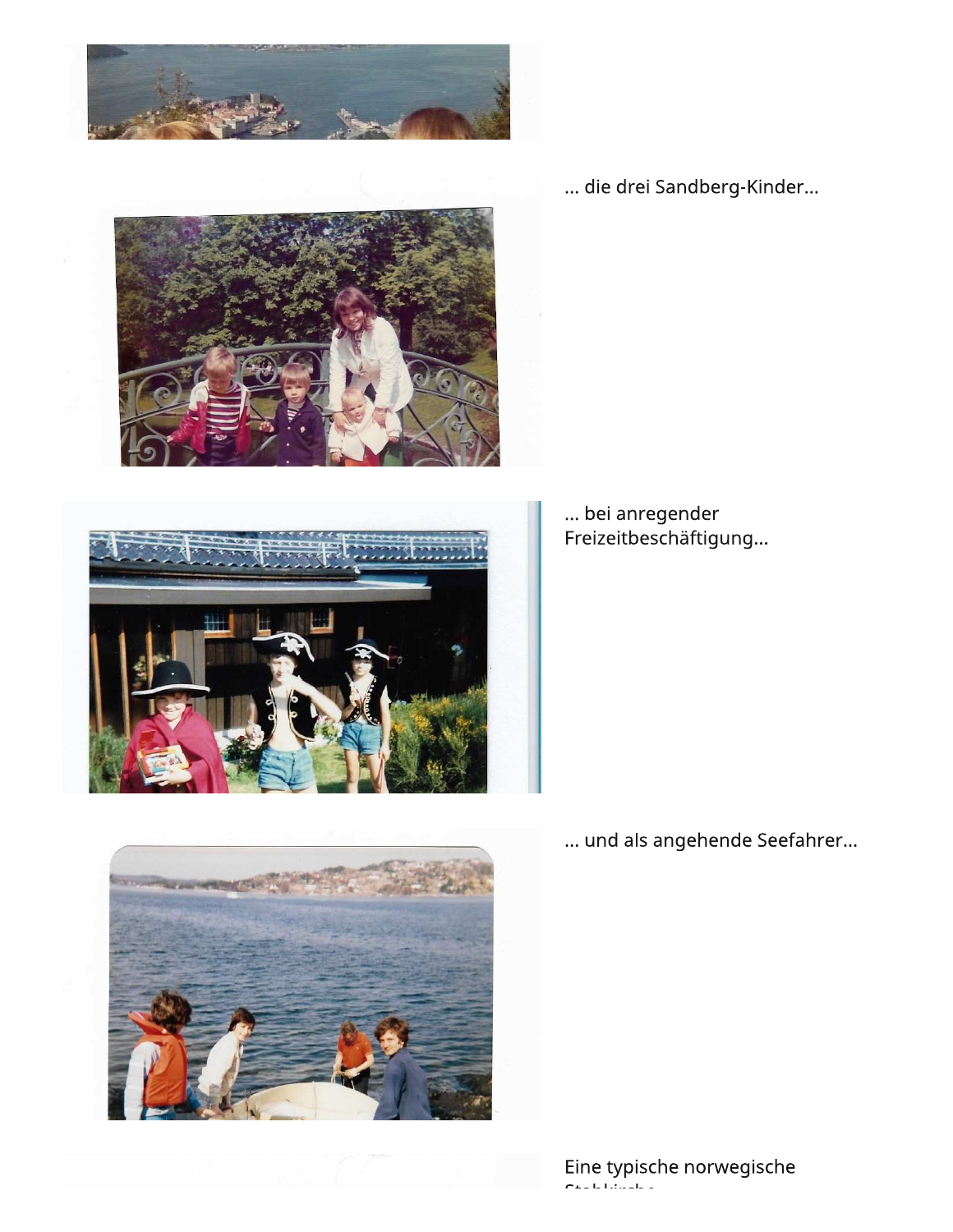





... bei anregender Freizeitbeschäftigung...

... die drei Sandberg-Kinder...

... und als angehende Seefahrer...

Eine typische norwegische<br>Chalaische

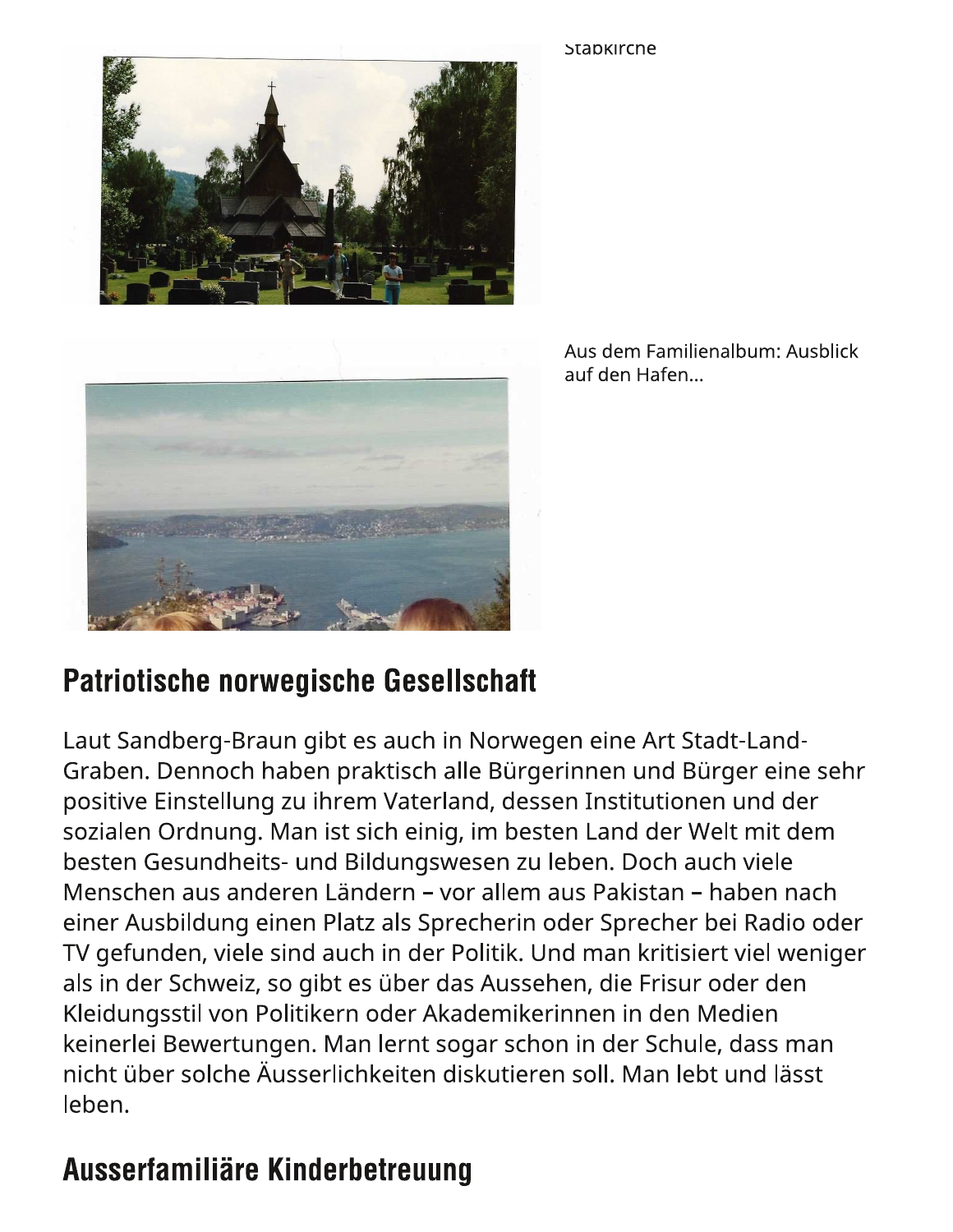Stapkircne





Aus dem Familienalbum: Ausblick auf den Hafen...

#### **Patriotische norwegische Gesellschaft**

Laut Sandberg-Braun gibt es auch in Norwegen eine Art Stadt-Land-Graben. Dennoch haben praktisch alle Bürgerinnen und Bürger eine sehr positive Einstellung zu ihrem Vaterland, dessen Institutionen und der sozialen Ordnung. Man ist sich einig, im besten Land der Welt mit dem besten Gesundheits- und Bildungswesen zu leben. Doch auch viele Menschen aus anderen Ländern – vor allem aus Pakistan – haben nach einer Ausbildung einen Platz als Sprecherin oder Sprecher bei Radio oder TV gefunden, viele sind auch in der Politik. Und man kritisiert viel weniger als in der Schweiz, so gibt es über das Aussehen, die Frisur oder den Kleidungsstil von Politikern oder Akademikerinnen in den Medien keinerlei Bewertungen. Man lernt sogar schon in der Schule, dass man nicht über solche Äusserlichkeiten diskutieren soll. Man lebt und lässt leben.

## Ausserfamiliäre Kinderbetreuung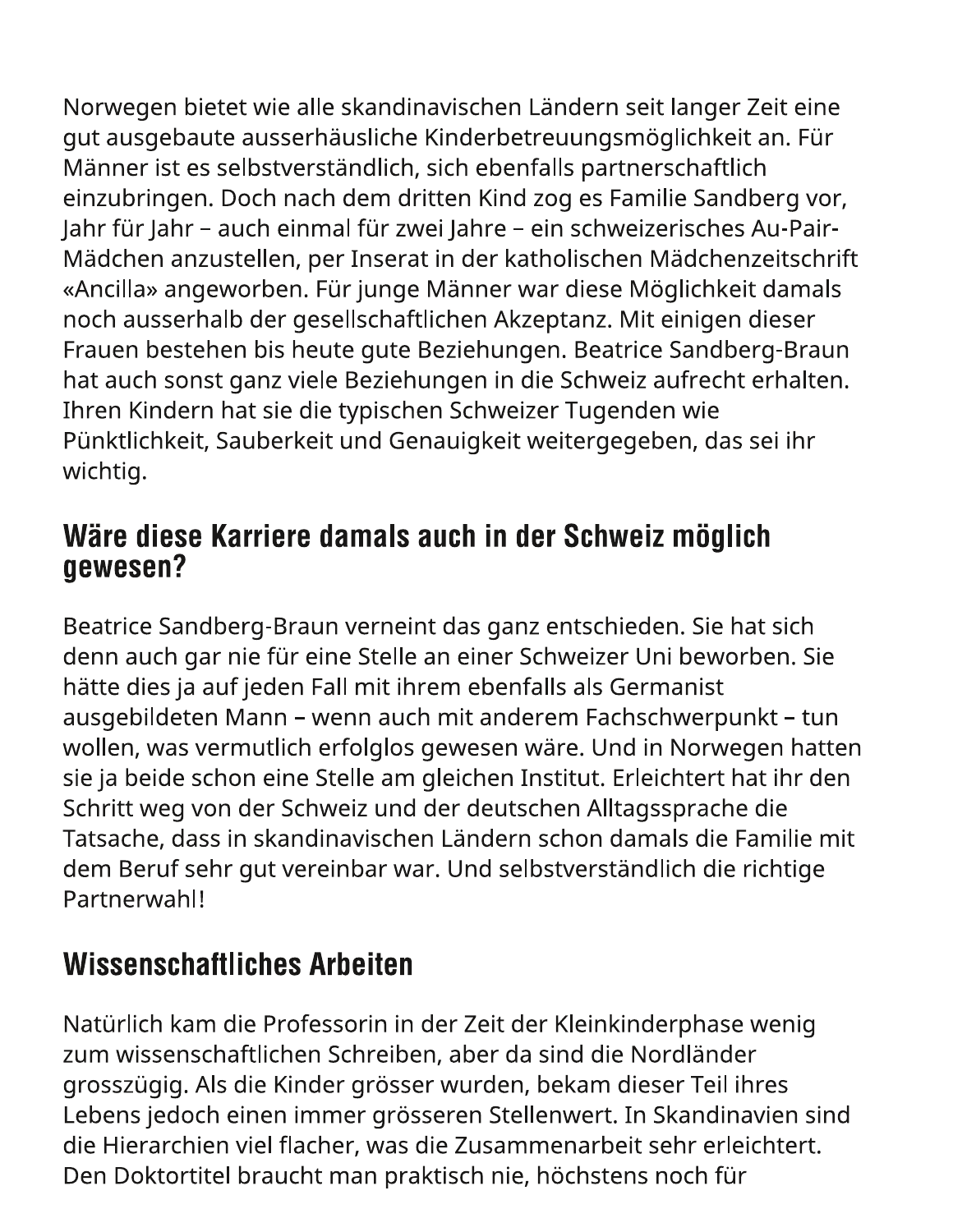Norwegen bietet wie alle skandinavischen Ländern seit langer Zeit eine gut ausgebaute ausserhäusliche Kinderbetreuungsmöglichkeit an. Für Männer ist es selbstverständlich, sich ebenfalls partnerschaftlich einzubringen. Doch nach dem dritten Kind zog es Familie Sandberg vor, Jahr für Jahr - auch einmal für zwei Jahre - ein schweizerisches Au-Pair-Mädchen anzustellen, per Inserat in der katholischen Mädchenzeitschrift «Ancilla» angeworben. Für junge Männer war diese Möglichkeit damals noch ausserhalb der gesellschaftlichen Akzeptanz. Mit einigen dieser Frauen bestehen bis heute gute Beziehungen. Beatrice Sandberg-Braun hat auch sonst ganz viele Beziehungen in die Schweiz aufrecht erhalten. Ihren Kindern hat sie die typischen Schweizer Tugenden wie Pünktlichkeit, Sauberkeit und Genauigkeit weitergegeben, das sei ihr wichtig.

#### Wäre diese Karriere damals auch in der Schweiz möglich gewesen?

Beatrice Sandberg-Braun verneint das ganz entschieden. Sie hat sich denn auch gar nie für eine Stelle an einer Schweizer Uni beworben. Sie hätte dies ja auf jeden Fall mit ihrem ebenfalls als Germanist ausgebildeten Mann – wenn auch mit anderem Fachschwerpunkt – tun wollen, was vermutlich erfolglos gewesen wäre. Und in Norwegen hatten sie ja beide schon eine Stelle am gleichen Institut. Erleichtert hat ihr den Schritt weg von der Schweiz und der deutschen Alltagssprache die Tatsache, dass in skandinavischen Ländern schon damals die Familie mit dem Beruf sehr gut vereinbar war. Und selbstverständlich die richtige Partnerwahl!

## **Wissenschaftliches Arbeiten**

Natürlich kam die Professorin in der Zeit der Kleinkinderphase wenig zum wissenschaftlichen Schreiben, aber da sind die Nordländer grosszügig. Als die Kinder grösser wurden, bekam dieser Teil ihres Lebens jedoch einen immer grösseren Stellenwert. In Skandinavien sind die Hierarchien viel flacher, was die Zusammenarbeit sehr erleichtert. Den Doktortitel braucht man praktisch nie, höchstens noch für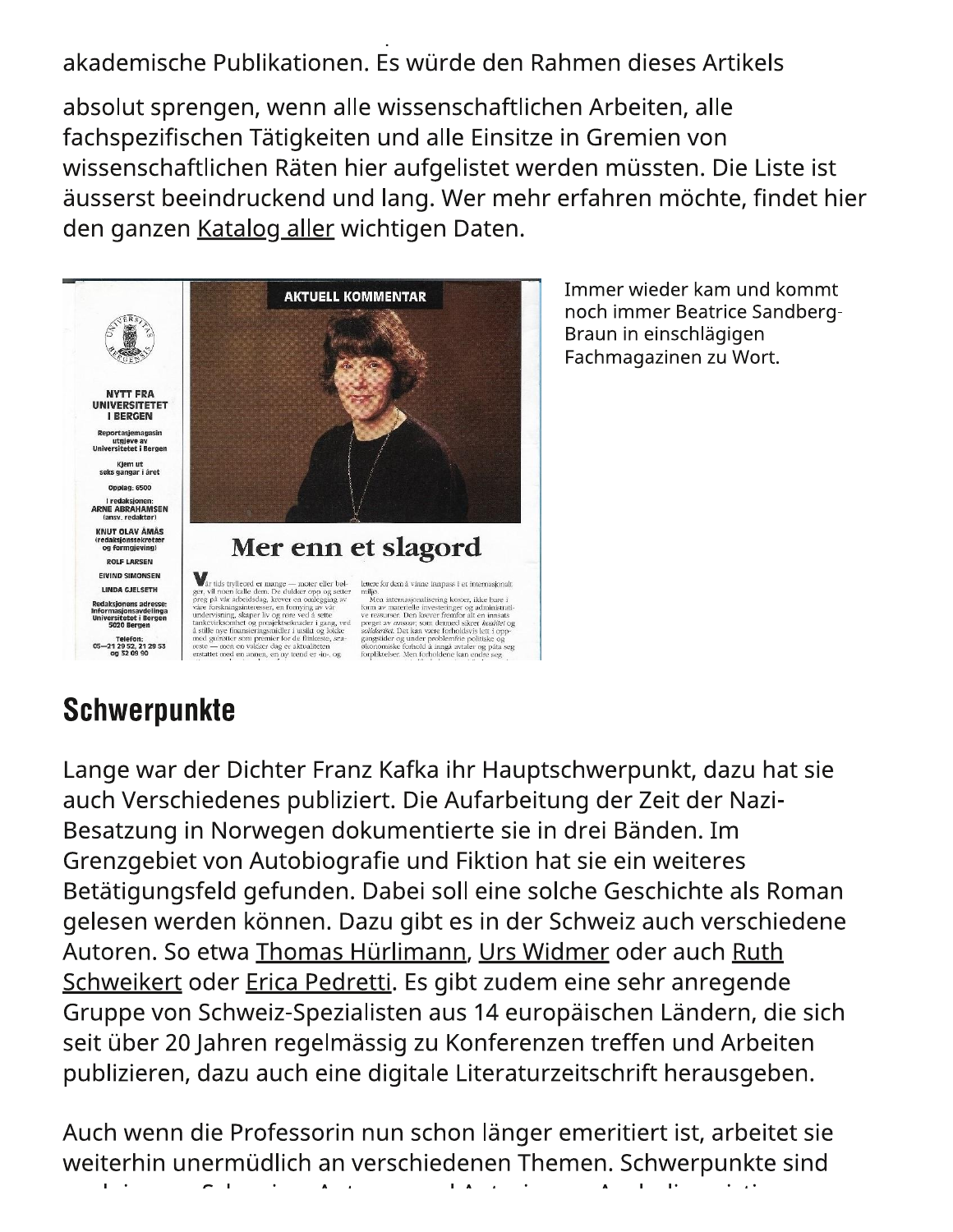akademische Publikationen. Es würde den Rahmen dieses Artikels

absolut sprengen, wenn alle wissenschaftlichen Arbeiten, alle fachspezifischen Tätigkeiten und alle Einsitze in Gremien von wissenschaftlichen Räten hier aufgelistet werden müssten. Die Liste ist äusserst beeindruckend und lang. Wer mehr erfahren möchte, findet hier den ganzen Katalog aller wichtigen Daten.



Immer wieder kam und kommt noch immer Beatrice Sandberg-Braun in einschlägigen Fachmagazinen zu Wort.

## **Schwerpunkte**

Lange war der Dichter Franz Kafka ihr Hauptschwerpunkt, dazu hat sie auch Verschiedenes publiziert. Die Aufarbeitung der Zeit der Nazi-Besatzung in Norwegen dokumentierte sie in drei Bänden. Im Grenzgebiet von Autobiografie und Fiktion hat sie ein weiteres Betätigungsfeld gefunden. Dabei soll eine solche Geschichte als Roman gelesen werden können. Dazu gibt es in der Schweiz auch verschiedene Autoren. So etwa Thomas Hürlimann, Urs Widmer oder auch Ruth Schweikert oder Erica Pedretti. Es gibt zudem eine sehr anregende Gruppe von Schweiz-Spezialisten aus 14 europäischen Ländern, die sich seit über 20 Jahren regelmässig zu Konferenzen treffen und Arbeiten publizieren, dazu auch eine digitale Literaturzeitschrift herausgeben.

Auch wenn die Professorin nun schon länger emeritiert ist, arbeitet sie weiterhin unermüdlich an verschiedenen Themen. Schwerpunkte sind  $\mathbf{r}$  $\sim$